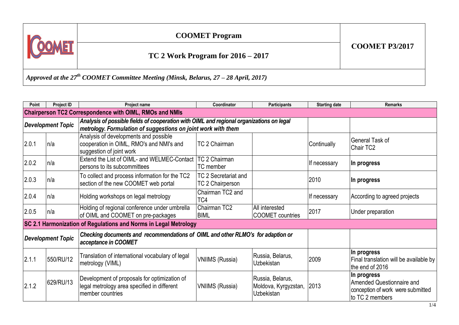

*Approved at the 27th COOMET Committee Meeting (Minsk, Belarus, 27 – 28 April, 2017)*

| Point                                                            | Project ID               | <b>Project name</b>                                                                                                                                       | Coordinator                              | <b>Participants</b>                                           | <b>Starting date</b> | <b>Remarks</b>                                                                                   |  |
|------------------------------------------------------------------|--------------------------|-----------------------------------------------------------------------------------------------------------------------------------------------------------|------------------------------------------|---------------------------------------------------------------|----------------------|--------------------------------------------------------------------------------------------------|--|
| <b>Chairperson TC2 Correspondence with OIML, RMOs and NMIs</b>   |                          |                                                                                                                                                           |                                          |                                                               |                      |                                                                                                  |  |
| <b>Development Topic</b>                                         |                          | Analysis of possible fields of cooperation with OIML and regional organizations on legal<br>metrology. Formulation of suggestions on joint work with them |                                          |                                                               |                      |                                                                                                  |  |
| 2.0.1                                                            | ln/a                     | Analysis of developments and possible<br>cooperation in OIML, RMO's and NMI's and<br>suggestion of joint work                                             | TC 2 Chairman                            |                                                               | Continually          | <b>General Task of</b><br>Chair TC2                                                              |  |
| 2.0.2                                                            | n/a                      | Extend the List of OIML- and WELMEC-Contact<br>persons to its subcommittees                                                                               | TC 2 Chairman<br>TC member               |                                                               | If necessary         | ∣In progress                                                                                     |  |
| 2.0.3                                                            | n/a                      | To collect and process information for the TC2<br>section of the new COOMET web portal                                                                    | TC 2 Secretariat and<br>TC 2 Chairperson |                                                               | 2010                 | ∣In progress                                                                                     |  |
| 2.0.4                                                            | n/a                      | Holding workshops on legal metrology                                                                                                                      | Chairman TC2 and<br>TC4                  |                                                               | If necessary         | According to agreed projects                                                                     |  |
| 2.0.5                                                            | n/a                      | Holding of regional conference under umbrella<br>of OIML and COOMET on pre-packages                                                                       | Chairman TC2<br><b>BIML</b>              | All interested<br><b>COOMET</b> countries                     | 2017                 | Under preparation                                                                                |  |
| SC 2.1 Harmonization of Regulations and Norms in Legal Metrology |                          |                                                                                                                                                           |                                          |                                                               |                      |                                                                                                  |  |
|                                                                  | <b>Development Topic</b> | Checking documents and recommendations of OIML and other RLMO's for adaption or<br>acceptance in COOMET                                                   |                                          |                                                               |                      |                                                                                                  |  |
| 2.1.1                                                            | 550/RU/12                | Translation of international vocabulary of legal<br>metrology (VIML)                                                                                      | <b>VNIIMS (Russia)</b>                   | Russia, Belarus,<br>Uzbekistan                                | 2009                 | In progress<br>Final translation will be available by<br>the end of 2016                         |  |
| 2.1.2                                                            | 629/RU/13                | Development of proposals for optimization of<br>legal metrology area specified in different<br>member countries                                           | <b>VNIIMS (Russia)</b>                   | Russia, Belarus,<br>Moldova, Kyrgyzstan,<br><b>Uzbekistan</b> | 2013                 | In progress<br>Amended Questionnaire and<br>conception of work were submitted<br>to TC 2 members |  |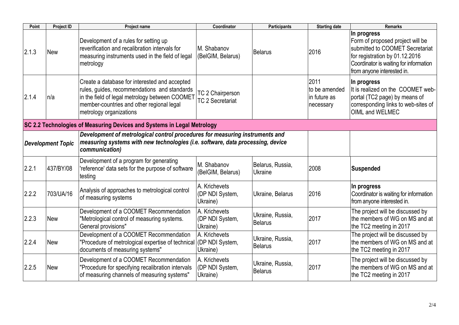| Point | Project ID               | Project name                                                                                                                                                                                                            | Coordinator                                        | <b>Participants</b>         | <b>Starting date</b>                               | <b>Remarks</b>                                                                                                                                                                               |
|-------|--------------------------|-------------------------------------------------------------------------------------------------------------------------------------------------------------------------------------------------------------------------|----------------------------------------------------|-----------------------------|----------------------------------------------------|----------------------------------------------------------------------------------------------------------------------------------------------------------------------------------------------|
| 2.1.3 | <b>New</b>               | Development of a rules for setting up<br>reverification and recalibration intervals for<br>measuring instruments used in the field of legal<br>metrology                                                                | M. Shabanov<br>(BelGIM, Belarus)                   | Belarus                     | 2016                                               | In progress<br>Form of proposed project will be<br>submitted to COOMET Secretariat<br>for registration by 01.12.2016<br>Coordinator is waiting for information<br>from anyone interested in. |
| 2.1.4 | n/a                      | Create a database for interested and accepted<br>rules, guides, recommendations and standards<br>in the field of legal metrology between COOMET<br>member-countries and other regional legal<br>metrology organizations | <b>TC 2 Chairperson</b><br><b>TC 2 Secretariat</b> |                             | 2011<br>to be amended<br>in future as<br>necessary | In progress<br>It is realized on the COOMET web-<br>portal (TC2 page) by means of<br>corresponding links to web-sites of<br>OIML and WELMEC                                                  |
|       |                          | SC 2.2 Technologies of Measuring Devices and Systems in Legal Metrology                                                                                                                                                 |                                                    |                             |                                                    |                                                                                                                                                                                              |
|       | <b>Development Topic</b> | Development of metrological control procedures for measuring instruments and<br>measuring systems with new technologies (i.e. software, data processing, device<br>communication)                                       |                                                    |                             |                                                    |                                                                                                                                                                                              |
| 2.2.1 | 437/BY/08                | Development of a program for generating<br>'reference' data sets for the purpose of software<br>testing                                                                                                                 | M. Shabanov<br>(BelGIM, Belarus)                   | Belarus, Russia,<br>Ukraine | 2008                                               | <b>Suspended</b>                                                                                                                                                                             |
| 2.2.2 | 703/UA/16                | Analysis of approaches to metrological control<br>of measuring systems                                                                                                                                                  | A. Krichevets<br>(DP NDI System,<br>Ukraine)       | Ukraine, Belarus            | 2016                                               | In progress<br>Coordinator is waiting for information<br>from anyone interested in.                                                                                                          |
| 2.2.3 | <b>New</b>               | Development of a COOMET Recommendation<br>"Metrological control of measuring systems.<br>General provisions"                                                                                                            | A. Krichevets<br>(DP NDI System,<br>Ukraine)       | Ukraine, Russia,<br>Belarus | 2017                                               | The project will be discussed by<br>the members of WG on MS and at<br>the TC2 meeting in 2017                                                                                                |
| 2.2.4 | <b>New</b>               | Development of a COOMET Recommendation<br>"Procedure of metrological expertise of technical<br>documents of measuring systems"                                                                                          | A. Krichevets<br>(DP NDI System,<br>Ukraine)       | Ukraine, Russia,<br>Belarus | 2017                                               | The project will be discussed by<br>the members of WG on MS and at<br>the TC2 meeting in 2017                                                                                                |
| 2.2.5 | <b>New</b>               | Development of a COOMET Recommendation<br>"Procedure for specifying recalibration intervals<br>of measuring channels of measuring systems"                                                                              | A. Krichevets<br>(DP NDI System,<br>Ukraine)       | Ukraine, Russia,<br>Belarus | 2017                                               | The project will be discussed by<br>the members of WG on MS and at<br>the TC2 meeting in 2017                                                                                                |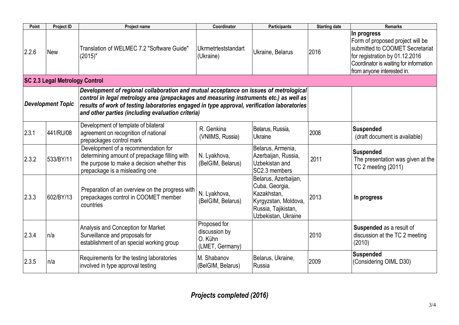| Point | <b>Project ID</b>                     | Project name                                                                                                                                                          | Coordinator                                                 | <b>Participants</b>                                                                                                         | <b>Starting date</b> | <b>Remarks</b>                                                                                                                                                                               |  |  |  |
|-------|---------------------------------------|-----------------------------------------------------------------------------------------------------------------------------------------------------------------------|-------------------------------------------------------------|-----------------------------------------------------------------------------------------------------------------------------|----------------------|----------------------------------------------------------------------------------------------------------------------------------------------------------------------------------------------|--|--|--|
| 2.2.6 | <b>New</b>                            | Translation of WELMEC 7.2 "Software Guide"<br>$(2015)$ "                                                                                                              | Ukrmetrteststandart<br>(Ukraine)                            | Ukraine, Belarus                                                                                                            | 2016                 | In progress<br>Form of proposed project will be<br>submitted to COOMET Secretariat<br>for registration by 01.12.2016<br>Coordinator is waiting for information<br>from anyone interested in. |  |  |  |
|       | <b>SC 2.3 Legal Metrology Control</b> |                                                                                                                                                                       |                                                             |                                                                                                                             |                      |                                                                                                                                                                                              |  |  |  |
|       | <b>Development Topic</b>              |                                                                                                                                                                       |                                                             |                                                                                                                             |                      |                                                                                                                                                                                              |  |  |  |
| 2.3.1 | 441/RU/08                             | Development of template of bilateral<br>agreement on recognition of national<br>prepackages control mark                                                              | R. Genkina<br>(VNIIMS, Russia)                              | Belarus, Russia,<br>Ukraine                                                                                                 | 2008                 | <b>Suspended</b><br>(draft document is available)                                                                                                                                            |  |  |  |
| 2.3.2 | 533/BY/11                             | Development of a recommendation for<br>determining amount of prepackage filling with<br>the purpose to make a decision whether this<br>prepackage is a misleading one | N. Lyakhova,<br>(BelGIM, Belarus)                           | Belarus, Armenia,<br>Azerbaijan, Russia,<br>Uzbekistan and<br>SC2.3 members                                                 | 2011                 | <b>Suspended</b><br>The presentation was given at the<br>TC 2 meeting (2011)                                                                                                                 |  |  |  |
| 2.3.3 | 602/BY/13                             | Preparation of an overview on the progress with<br>prepackages control in COOMET member<br>countries                                                                  | N. Lyakhova,<br>(BelGIM, Belarus)                           | Belarus, Azerbaijan,<br>Cuba, Georgia,<br>Kazakhstan,<br>Kyrgyzstan, Moldova,<br>Russia, Tajikistan,<br>Uzbekistan, Ukraine | 2013                 | In progress                                                                                                                                                                                  |  |  |  |
| 2.3.4 | n/a                                   | Analysis and Conception for Market<br>Surveillance and proposals for<br>establishment of an special working group                                                     | Proposed for<br>discussion by<br>O. Kühn<br>(LMET, Germany) |                                                                                                                             | 2010                 | Suspended as a result of<br>discussion at the TC 2 meeting<br>(2010)                                                                                                                         |  |  |  |
| 2.3.5 | n/a                                   | Requirements for the testing laboratories<br>involved in type approval testing                                                                                        | M. Shabanov<br>(BelGIM, Belarus)                            | Belarus, Ukraine,<br>Russia                                                                                                 | 2009                 | <b>Suspended</b><br>(Considering OIML D30)                                                                                                                                                   |  |  |  |